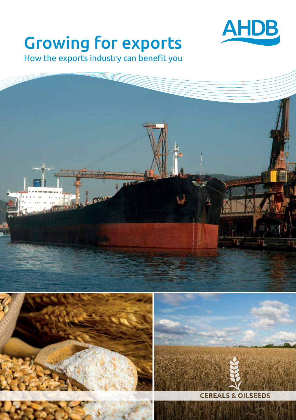

## **Growing for exports**

How the exports industry can benefit you

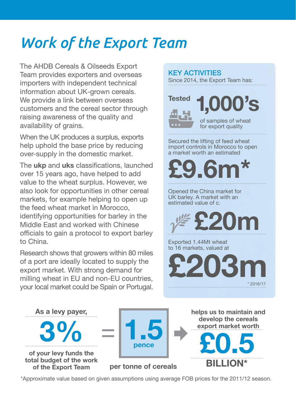## *Work of the Export Team*

The AHDB Cereals & Oilseeds Export Team provides exporters and overseas importers with independent technical information about UK-grown cereals. We provide a link between overseas customers and the cereal sector through raising awareness of the quality and availability of grains.

When the UK produces a surplus, exports help uphold the base price by reducing over-supply in the domestic market.

The **ukp** and **uks** classifications, launched over 15 years ago, have helped to add value to the wheat surplus. However, we also look for opportunities in other cereal markets, for example helping to open up the feed wheat market in Morocco, identifying opportunities for barley in the Middle East and worked with Chinese officials to gain a protocol to export barley to China.

Research shows that growers within 80 miles of a port are ideally located to supply the export market. With strong demand for milling wheat in EU and non-EU countries, your local market could be Spain or Portugal.

#### KEY ACTIVITIES

Since 2014, the Export Team has:



of samples of wheat for export quality

<sup>7</sup>S

Secured the lifting of feed wheat import controls in Morocco to open a market worth an estimated

**£9.6m\***

Opened the China market for UK barley. A market with an estimated value of c.



Exported 1.44Mt wheat to 16 markets, valued at





\*Approximate value based on given assumptions using average FOB prices for the 2011/12 season.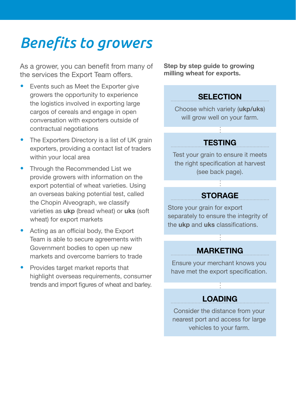### *Benefits to growers*

As a grower, you can benefit from many of the services the Export Team offers.

- **•** Events such as Meet the Exporter give growers the opportunity to experience the logistics involved in exporting large cargos of cereals and engage in open conversation with exporters outside of contractual negotiations
- The Exporters Directory is a list of UK grain exporters, providing a contact list of traders within your local area
- **•** Through the Recommended List we provide growers with information on the export potential of wheat varieties. Using an overseas baking potential test, called the Chopin Alveograph, we classify varieties as **ukp** (bread wheat) or **uks** (soft wheat) for export markets
- **•** Acting as an official body, the Export Team is able to secure agreements with Government bodies to open up new markets and overcome barriers to trade
- **•** Provides target market reports that highlight overseas requirements, consumer trends and import figures of wheat and barley.

**Step by step guide to growing milling wheat for exports.**

#### **SELECTION**

Choose which variety (**ukp/uks**) will grow well on your farm.

#### **TESTING**

Test your grain to ensure it meets the right specification at harvest (see back page).

#### **STORAGE**

Store your grain for export separately to ensure the integrity of the **ukp** and **uks** classifications.

#### **MARKETING**

Ensure your merchant knows you have met the export specification.

#### **LOADING**

Consider the distance from your nearest port and access for large vehicles to your farm.